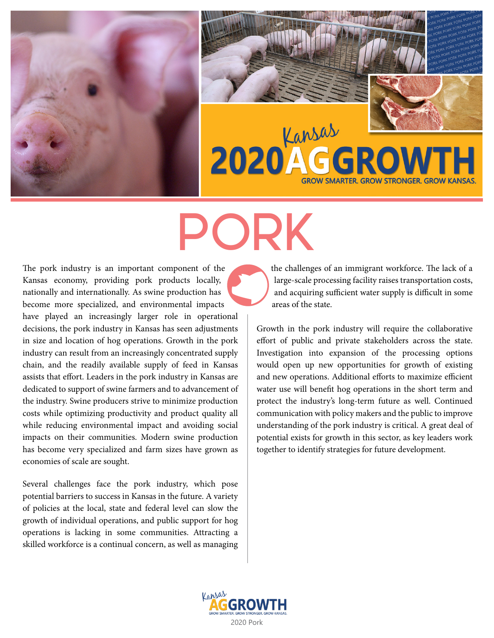



# PORK

The pork industry is an important component of the Kansas economy, providing pork products locally, nationally and internationally. As swine production has become more specialized, and environmental impacts have played an increasingly larger role in operational decisions, the pork industry in Kansas has seen adjustments in size and location of hog operations. Growth in the pork industry can result from an increasingly concentrated supply chain, and the readily available supply of feed in Kansas assists that effort. Leaders in the pork industry in Kansas are dedicated to support of swine farmers and to advancement of the industry. Swine producers strive to minimize production costs while optimizing productivity and product quality all while reducing environmental impact and avoiding social impacts on their communities. Modern swine production has become very specialized and farm sizes have grown as economies of scale are sought.

Several challenges face the pork industry, which pose potential barriers to success in Kansas in the future. A variety of policies at the local, state and federal level can slow the growth of individual operations, and public support for hog operations is lacking in some communities. Attracting a skilled workforce is a continual concern, as well as managing the challenges of an immigrant workforce. The lack of a large-scale processing facility raises transportation costs, and acquiring sufficient water supply is difficult in some areas of the state.

Growth in the pork industry will require the collaborative effort of public and private stakeholders across the state. Investigation into expansion of the processing options would open up new opportunities for growth of existing and new operations. Additional efforts to maximize efficient water use will benefit hog operations in the short term and protect the industry's long-term future as well. Continued communication with policy makers and the public to improve understanding of the pork industry is critical. A great deal of potential exists for growth in this sector, as key leaders work together to identify strategies for future development.

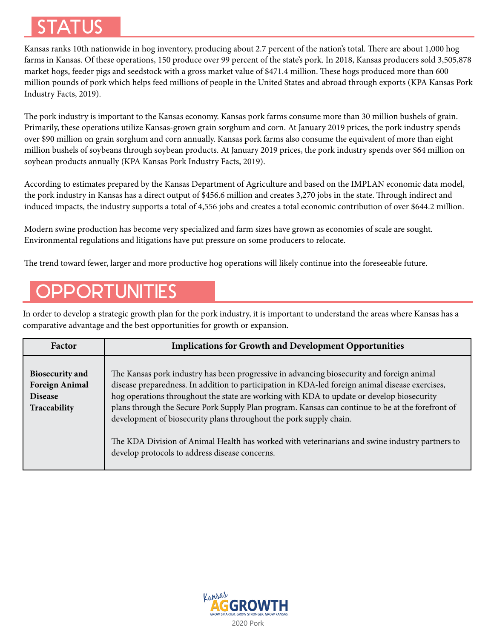# STATUS

Kansas ranks 10th nationwide in hog inventory, producing about 2.7 percent of the nation's total. There are about 1,000 hog farms in Kansas. Of these operations, 150 produce over 99 percent of the state's pork. In 2018, Kansas producers sold 3,505,878 market hogs, feeder pigs and seedstock with a gross market value of \$471.4 million. These hogs produced more than 600 million pounds of pork which helps feed millions of people in the United States and abroad through exports (KPA Kansas Pork Industry Facts, 2019).

The pork industry is important to the Kansas economy. Kansas pork farms consume more than 30 million bushels of grain. Primarily, these operations utilize Kansas-grown grain sorghum and corn. At January 2019 prices, the pork industry spends over \$90 million on grain sorghum and corn annually. Kansas pork farms also consume the equivalent of more than eight million bushels of soybeans through soybean products. At January 2019 prices, the pork industry spends over \$64 million on soybean products annually (KPA Kansas Pork Industry Facts, 2019).

According to estimates prepared by the Kansas Department of Agriculture and based on the IMPLAN economic data model, the pork industry in Kansas has a direct output of \$456.6 million and creates 3,270 jobs in the state. Through indirect and induced impacts, the industry supports a total of 4,556 jobs and creates a total economic contribution of over \$644.2 million.

Modern swine production has become very specialized and farm sizes have grown as economies of scale are sought. Environmental regulations and litigations have put pressure on some producers to relocate.

The trend toward fewer, larger and more productive hog operations will likely continue into the foreseeable future.

# **PPORTUNITIES**

In order to develop a strategic growth plan for the pork industry, it is important to understand the areas where Kansas has a comparative advantage and the best opportunities for growth or expansion.

| Factor                                                                            | <b>Implications for Growth and Development Opportunities</b>                                                                                                                                                                                                                                                                                                                                                                                                                                                                                                                                                            |
|-----------------------------------------------------------------------------------|-------------------------------------------------------------------------------------------------------------------------------------------------------------------------------------------------------------------------------------------------------------------------------------------------------------------------------------------------------------------------------------------------------------------------------------------------------------------------------------------------------------------------------------------------------------------------------------------------------------------------|
| <b>Biosecurity and</b><br><b>Foreign Animal</b><br><b>Disease</b><br>Traceability | The Kansas pork industry has been progressive in advancing biosecurity and foreign animal<br>disease preparedness. In addition to participation in KDA-led foreign animal disease exercises,<br>hog operations throughout the state are working with KDA to update or develop biosecurity<br>plans through the Secure Pork Supply Plan program. Kansas can continue to be at the forefront of<br>development of biosecurity plans throughout the pork supply chain.<br>The KDA Division of Animal Health has worked with veterinarians and swine industry partners to<br>develop protocols to address disease concerns. |

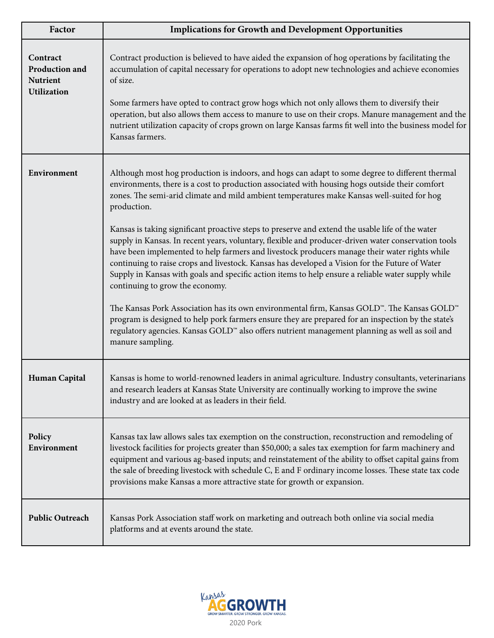| Factor                                                              | <b>Implications for Growth and Development Opportunities</b>                                                                                                                                                                                                                                                                                                                                                                                                                                                                                                                                                                                                                                                                                                                                                                                                                                                                                                                                                                                                                                                                                                                                                             |
|---------------------------------------------------------------------|--------------------------------------------------------------------------------------------------------------------------------------------------------------------------------------------------------------------------------------------------------------------------------------------------------------------------------------------------------------------------------------------------------------------------------------------------------------------------------------------------------------------------------------------------------------------------------------------------------------------------------------------------------------------------------------------------------------------------------------------------------------------------------------------------------------------------------------------------------------------------------------------------------------------------------------------------------------------------------------------------------------------------------------------------------------------------------------------------------------------------------------------------------------------------------------------------------------------------|
| Contract<br>Production and<br><b>Nutrient</b><br><b>Utilization</b> | Contract production is believed to have aided the expansion of hog operations by facilitating the<br>accumulation of capital necessary for operations to adopt new technologies and achieve economies<br>of size.<br>Some farmers have opted to contract grow hogs which not only allows them to diversify their<br>operation, but also allows them access to manure to use on their crops. Manure management and the<br>nutrient utilization capacity of crops grown on large Kansas farms fit well into the business model for<br>Kansas farmers.                                                                                                                                                                                                                                                                                                                                                                                                                                                                                                                                                                                                                                                                      |
| Environment                                                         | Although most hog production is indoors, and hogs can adapt to some degree to different thermal<br>environments, there is a cost to production associated with housing hogs outside their comfort<br>zones. The semi-arid climate and mild ambient temperatures make Kansas well-suited for hog<br>production.<br>Kansas is taking significant proactive steps to preserve and extend the usable life of the water<br>supply in Kansas. In recent years, voluntary, flexible and producer-driven water conservation tools<br>have been implemented to help farmers and livestock producers manage their water rights while<br>continuing to raise crops and livestock. Kansas has developed a Vision for the Future of Water<br>Supply in Kansas with goals and specific action items to help ensure a reliable water supply while<br>continuing to grow the economy.<br>The Kansas Pork Association has its own environmental firm, Kansas GOLD <sup>™</sup> . The Kansas GOLD <sup>™</sup><br>program is designed to help pork farmers ensure they are prepared for an inspection by the state's<br>regulatory agencies. Kansas GOLD™ also offers nutrient management planning as well as soil and<br>manure sampling. |
| Human Capital                                                       | Kansas is home to world-renowned leaders in animal agriculture. Industry consultants, veterinarians<br>and research leaders at Kansas State University are continually working to improve the swine<br>industry and are looked at as leaders in their field.                                                                                                                                                                                                                                                                                                                                                                                                                                                                                                                                                                                                                                                                                                                                                                                                                                                                                                                                                             |
| Policy<br>Environment                                               | Kansas tax law allows sales tax exemption on the construction, reconstruction and remodeling of<br>livestock facilities for projects greater than \$50,000; a sales tax exemption for farm machinery and<br>equipment and various ag-based inputs; and reinstatement of the ability to offset capital gains from<br>the sale of breeding livestock with schedule C, E and F ordinary income losses. These state tax code<br>provisions make Kansas a more attractive state for growth or expansion.                                                                                                                                                                                                                                                                                                                                                                                                                                                                                                                                                                                                                                                                                                                      |
| <b>Public Outreach</b>                                              | Kansas Pork Association staff work on marketing and outreach both online via social media<br>platforms and at events around the state.                                                                                                                                                                                                                                                                                                                                                                                                                                                                                                                                                                                                                                                                                                                                                                                                                                                                                                                                                                                                                                                                                   |

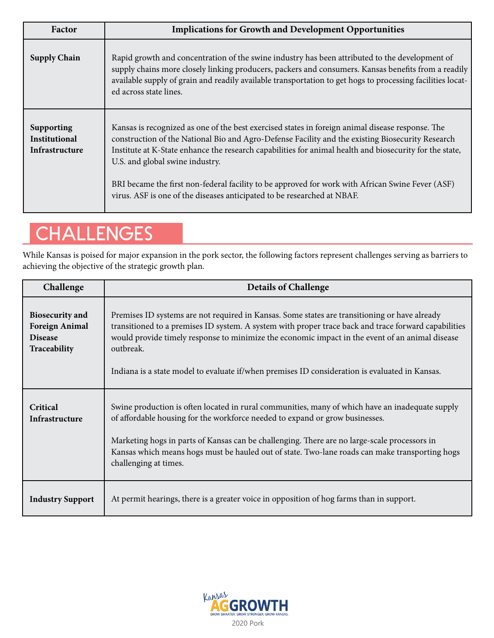| Factor                                               | <b>Implications for Growth and Development Opportunities</b>                                                                                                                                                                                                                                                                                                                                                                                                                                                                      |
|------------------------------------------------------|-----------------------------------------------------------------------------------------------------------------------------------------------------------------------------------------------------------------------------------------------------------------------------------------------------------------------------------------------------------------------------------------------------------------------------------------------------------------------------------------------------------------------------------|
| <b>Supply Chain</b>                                  | Rapid growth and concentration of the swine industry has been attributed to the development of<br>supply chains more closely linking producers, packers and consumers. Kansas benefits from a readily<br>available supply of grain and readily available transportation to get hogs to processing facilities locat-<br>ed across state lines.                                                                                                                                                                                     |
| <b>Supporting</b><br>Institutional<br>Infrastructure | Kansas is recognized as one of the best exercised states in foreign animal disease response. The<br>construction of the National Bio and Agro-Defense Facility and the existing Biosecurity Research<br>Institute at K-State enhance the research capabilities for animal health and biosecurity for the state,<br>U.S. and global swine industry.<br>BRI became the first non-federal facility to be approved for work with African Swine Fever (ASF)<br>virus. ASF is one of the diseases anticipated to be researched at NBAF. |

# **CHALLENGES**

While Kansas is poised for major expansion in the pork sector, the following factors represent challenges serving as barriers to achieving the objective of the strategic growth plan.

| Challenge                                                                         | <b>Details of Challenge</b>                                                                                                                                                                                                                                                                                                                                                                                             |
|-----------------------------------------------------------------------------------|-------------------------------------------------------------------------------------------------------------------------------------------------------------------------------------------------------------------------------------------------------------------------------------------------------------------------------------------------------------------------------------------------------------------------|
| <b>Biosecurity</b> and<br><b>Foreign Animal</b><br><b>Disease</b><br>Traceability | Premises ID systems are not required in Kansas. Some states are transitioning or have already<br>transitioned to a premises ID system. A system with proper trace back and trace forward capabilities<br>would provide timely response to minimize the economic impact in the event of an animal disease<br>outbreak.<br>Indiana is a state model to evaluate if/when premises ID consideration is evaluated in Kansas. |
| Critical<br>Infrastructure                                                        | Swine production is often located in rural communities, many of which have an inadequate supply<br>of affordable housing for the workforce needed to expand or grow businesses.<br>Marketing hogs in parts of Kansas can be challenging. There are no large-scale processors in<br>Kansas which means hogs must be hauled out of state. Two-lane roads can make transporting hogs<br>challenging at times.              |
| <b>Industry Support</b>                                                           | At permit hearings, there is a greater voice in opposition of hog farms than in support.                                                                                                                                                                                                                                                                                                                                |

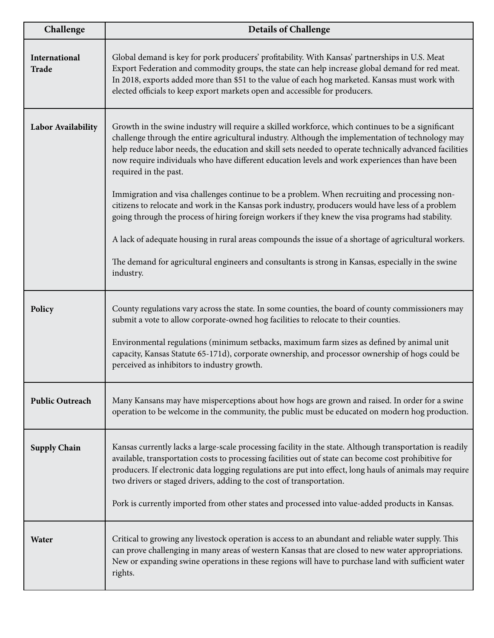| Challenge              | <b>Details of Challenge</b>                                                                                                                                                                                                                                                                                                                                                                                                                                                                                                                                                                                                                                                                                                                                                                                                                                                                                                                                                          |
|------------------------|--------------------------------------------------------------------------------------------------------------------------------------------------------------------------------------------------------------------------------------------------------------------------------------------------------------------------------------------------------------------------------------------------------------------------------------------------------------------------------------------------------------------------------------------------------------------------------------------------------------------------------------------------------------------------------------------------------------------------------------------------------------------------------------------------------------------------------------------------------------------------------------------------------------------------------------------------------------------------------------|
| International<br>Trade | Global demand is key for pork producers' profitability. With Kansas' partnerships in U.S. Meat<br>Export Federation and commodity groups, the state can help increase global demand for red meat.<br>In 2018, exports added more than \$51 to the value of each hog marketed. Kansas must work with<br>elected officials to keep export markets open and accessible for producers.                                                                                                                                                                                                                                                                                                                                                                                                                                                                                                                                                                                                   |
| Labor Availability     | Growth in the swine industry will require a skilled workforce, which continues to be a significant<br>challenge through the entire agricultural industry. Although the implementation of technology may<br>help reduce labor needs, the education and skill sets needed to operate technically advanced facilities<br>now require individuals who have different education levels and work experiences than have been<br>required in the past.<br>Immigration and visa challenges continue to be a problem. When recruiting and processing non-<br>citizens to relocate and work in the Kansas pork industry, producers would have less of a problem<br>going through the process of hiring foreign workers if they knew the visa programs had stability.<br>A lack of adequate housing in rural areas compounds the issue of a shortage of agricultural workers.<br>The demand for agricultural engineers and consultants is strong in Kansas, especially in the swine<br>industry. |
| Policy                 | County regulations vary across the state. In some counties, the board of county commissioners may<br>submit a vote to allow corporate-owned hog facilities to relocate to their counties.<br>Environmental regulations (minimum setbacks, maximum farm sizes as defined by animal unit<br>capacity, Kansas Statute 65-171d), corporate ownership, and processor ownership of hogs could be<br>perceived as inhibitors to industry growth.                                                                                                                                                                                                                                                                                                                                                                                                                                                                                                                                            |
| <b>Public Outreach</b> | Many Kansans may have misperceptions about how hogs are grown and raised. In order for a swine<br>operation to be welcome in the community, the public must be educated on modern hog production.                                                                                                                                                                                                                                                                                                                                                                                                                                                                                                                                                                                                                                                                                                                                                                                    |
| <b>Supply Chain</b>    | Kansas currently lacks a large-scale processing facility in the state. Although transportation is readily<br>available, transportation costs to processing facilities out of state can become cost prohibitive for<br>producers. If electronic data logging regulations are put into effect, long hauls of animals may require<br>two drivers or staged drivers, adding to the cost of transportation.<br>Pork is currently imported from other states and processed into value-added products in Kansas.                                                                                                                                                                                                                                                                                                                                                                                                                                                                            |
| Water                  | Critical to growing any livestock operation is access to an abundant and reliable water supply. This<br>can prove challenging in many areas of western Kansas that are closed to new water appropriations.<br>New or expanding swine operations in these regions will have to purchase land with sufficient water<br>rights.                                                                                                                                                                                                                                                                                                                                                                                                                                                                                                                                                                                                                                                         |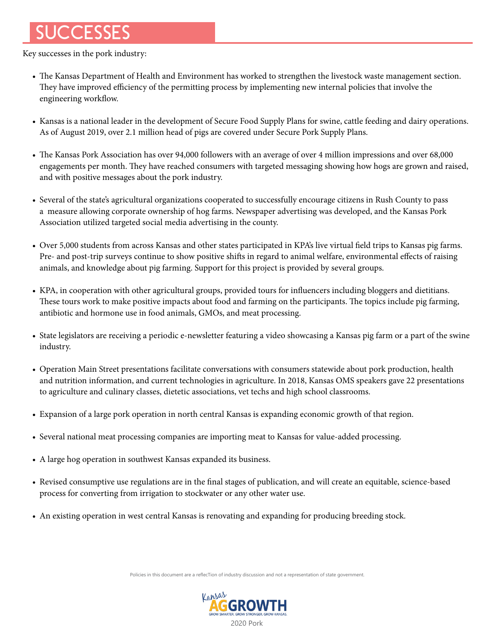# SUCCESSES

Key successes in the pork industry:

- The Kansas Department of Health and Environment has worked to strengthen the livestock waste management section. They have improved efficiency of the permitting process by implementing new internal policies that involve the engineering workflow.
- Kansas is a national leader in the development of Secure Food Supply Plans for swine, cattle feeding and dairy operations. As of August 2019, over 2.1 million head of pigs are covered under Secure Pork Supply Plans.
- The Kansas Pork Association has over 94,000 followers with an average of over 4 million impressions and over 68,000 engagements per month. They have reached consumers with targeted messaging showing how hogs are grown and raised, and with positive messages about the pork industry.
- Several of the state's agricultural organizations cooperated to successfully encourage citizens in Rush County to pass a measure allowing corporate ownership of hog farms. Newspaper advertising was developed, and the Kansas Pork Association utilized targeted social media advertising in the county.
- Over 5,000 students from across Kansas and other states participated in KPA's live virtual field trips to Kansas pig farms. Pre- and post-trip surveys continue to show positive shifts in regard to animal welfare, environmental effects of raising animals, and knowledge about pig farming. Support for this project is provided by several groups.
- KPA, in cooperation with other agricultural groups, provided tours for influencers including bloggers and dietitians. These tours work to make positive impacts about food and farming on the participants. The topics include pig farming, antibiotic and hormone use in food animals, GMOs, and meat processing.
- State legislators are receiving a periodic e-newsletter featuring a video showcasing a Kansas pig farm or a part of the swine industry.
- Operation Main Street presentations facilitate conversations with consumers statewide about pork production, health and nutrition information, and current technologies in agriculture. In 2018, Kansas OMS speakers gave 22 presentations to agriculture and culinary classes, dietetic associations, vet techs and high school classrooms.
- Expansion of a large pork operation in north central Kansas is expanding economic growth of that region.
- Several national meat processing companies are importing meat to Kansas for value-added processing.
- A large hog operation in southwest Kansas expanded its business.
- Revised consumptive use regulations are in the final stages of publication, and will create an equitable, science-based process for converting from irrigation to stockwater or any other water use.
- An existing operation in west central Kansas is renovating and expanding for producing breeding stock.

Policies in this document are a reflecTion of industry discussion and not a representation of state government.

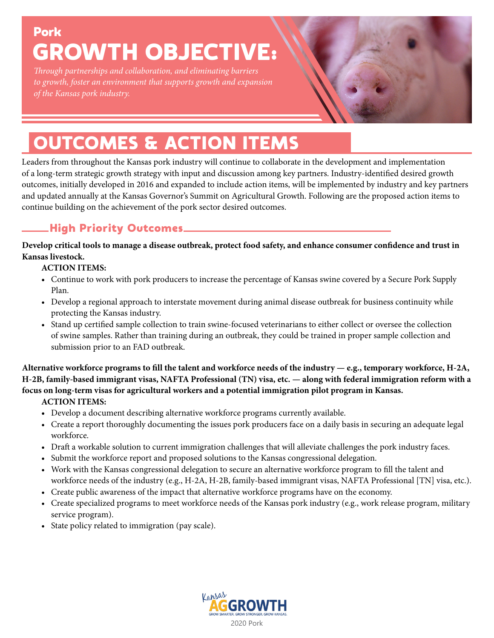## Pork GROWTH OBJECTIVE:

*Through partnerships and collaboration, and eliminating barriers to growth, foster an environment that supports growth and expansion of the Kansas pork industry.*

# OUTCOMES & ACTION ITEMS

Leaders from throughout the Kansas pork industry will continue to collaborate in the development and implementation of a long-term strategic growth strategy with input and discussion among key partners. Industry-identified desired growth outcomes, initially developed in 2016 and expanded to include action items, will be implemented by industry and key partners and updated annually at the Kansas Governor's Summit on Agricultural Growth. Following are the proposed action items to continue building on the achievement of the pork sector desired outcomes.

## High Priority Outcomes

**Develop critical tools to manage a disease outbreak, protect food safety, and enhance consumer confidence and trust in Kansas livestock.**

#### **ACTION ITEMS:**

- **•** Continue to work with pork producers to increase the percentage of Kansas swine covered by a Secure Pork Supply Plan.
- Develop a regional approach to interstate movement during animal disease outbreak for business continuity while protecting the Kansas industry.
- Stand up certified sample collection to train swine-focused veterinarians to either collect or oversee the collection of swine samples. Rather than training during an outbreak, they could be trained in proper sample collection and submission prior to an FAD outbreak.

**Alternative workforce programs to fill the talent and workforce needs of the industry — e.g., temporary workforce, H-2A, H-2B, family-based immigrant visas, NAFTA Professional (TN) visa, etc. — along with federal immigration reform with a focus on long-term visas for agricultural workers and a potential immigration pilot program in Kansas.**

- **•** Develop a document describing alternative workforce programs currently available.
- Create a report thoroughly documenting the issues pork producers face on a daily basis in securing an adequate legal workforce.
- Draft a workable solution to current immigration challenges that will alleviate challenges the pork industry faces.
- Submit the workforce report and proposed solutions to the Kansas congressional delegation.
- Work with the Kansas congressional delegation to secure an alternative workforce program to fill the talent and workforce needs of the industry (e.g., H-2A, H-2B, family-based immigrant visas, NAFTA Professional [TN] visa, etc.).
- Create public awareness of the impact that alternative workforce programs have on the economy.
- Create specialized programs to meet workforce needs of the Kansas pork industry (e.g., work release program, military service program).
- State policy related to immigration (pay scale).

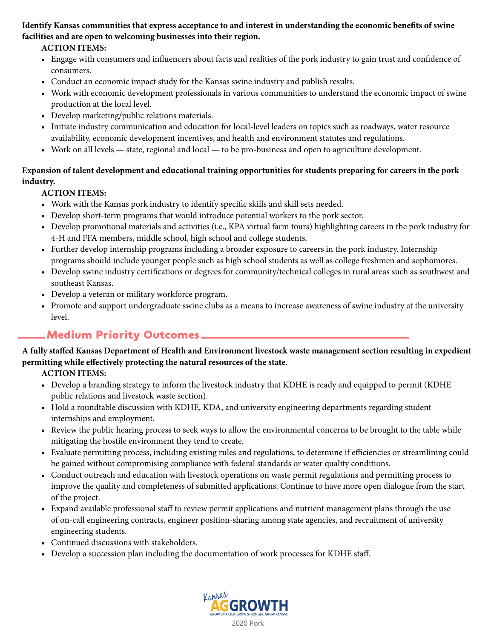#### **Identify Kansas communities that express acceptance to and interest in understanding the economic benefits of swine facilities and are open to welcoming businesses into their region.**

#### **ACTION ITEMS:**

- Engage with consumers and influencers about facts and realities of the pork industry to gain trust and confidence of consumers.
- Conduct an economic impact study for the Kansas swine industry and publish results.
- Work with economic development professionals in various communities to understand the economic impact of swine production at the local level.
- Develop marketing/public relations materials.
- Initiate industry communication and education for local-level leaders on topics such as roadways, water resource availability, economic development incentives, and health and environment statutes and regulations.
- Work on all levels state, regional and local to be pro-business and open to agriculture development.

#### **Expansion of talent development and educational training opportunities for students preparing for careers in the pork industry.**

#### **ACTION ITEMS:**

- Work with the Kansas pork industry to identify specific skills and skill sets needed.
- Develop short-term programs that would introduce potential workers to the pork sector.
- Develop promotional materials and activities (i.e., KPA virtual farm tours) highlighting careers in the pork industry for 4-H and FFA members, middle school, high school and college students.
- Further develop internship programs including a broader exposure to careers in the pork industry. Internship programs should include younger people such as high school students as well as college freshmen and sophomores.
- Develop swine industry certifications or degrees for community/technical colleges in rural areas such as southwest and southeast Kansas.
- Develop a veteran or military workforce program.
- Promote and support undergraduate swine clubs as a means to increase awareness of swine industry at the university level.

### Medium Priority Outcomes

#### **A fully staffed Kansas Department of Health and Environment livestock waste management section resulting in expedient permitting while effectively protecting the natural resources of the state.**

- Develop a branding strategy to inform the livestock industry that KDHE is ready and equipped to permit (KDHE public relations and livestock waste section).
- Hold a roundtable discussion with KDHE, KDA, and university engineering departments regarding student internships and employment.
- Review the public hearing process to seek ways to allow the environmental concerns to be brought to the table while mitigating the hostile environment they tend to create.
- Evaluate permitting process, including existing rules and regulations, to determine if efficiencies or streamlining could be gained without compromising compliance with federal standards or water quality conditions.
- Conduct outreach and education with livestock operations on waste permit regulations and permitting process to improve the quality and completeness of submitted applications. Continue to have more open dialogue from the start of the project.
- Expand available professional staff to review permit applications and nutrient management plans through the use of on-call engineering contracts, engineer position-sharing among state agencies, and recruitment of university engineering students.
- Continued discussions with stakeholders.
- Develop a succession plan including the documentation of work processes for KDHE staff.

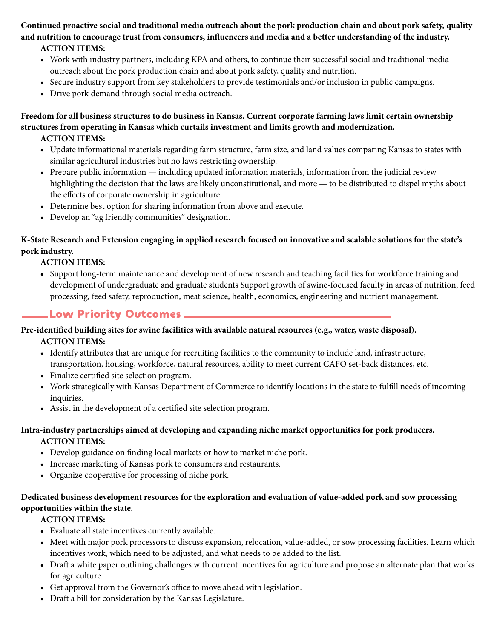**Continued proactive social and traditional media outreach about the pork production chain and about pork safety, quality and nutrition to encourage trust from consumers, influencers and media and a better understanding of the industry. ACTION ITEMS:**

- Work with industry partners, including KPA and others, to continue their successful social and traditional media outreach about the pork production chain and about pork safety, quality and nutrition.
- Secure industry support from key stakeholders to provide testimonials and/or inclusion in public campaigns.
- Drive pork demand through social media outreach.

#### **Freedom for all business structures to do business in Kansas. Current corporate farming laws limit certain ownership structures from operating in Kansas which curtails investment and limits growth and modernization.**

#### **ACTION ITEMS:**

- **•** Update informational materials regarding farm structure, farm size, and land values comparing Kansas to states with similar agricultural industries but no laws restricting ownership.
- Prepare public information including updated information materials, information from the judicial review highlighting the decision that the laws are likely unconstitutional, and more — to be distributed to dispel myths about the effects of corporate ownership in agriculture.
- Determine best option for sharing information from above and execute.
- Develop an "ag friendly communities" designation.

#### **K-State Research and Extension engaging in applied research focused on innovative and scalable solutions for the state's pork industry.**

#### **ACTION ITEMS:**

**•** Support long-term maintenance and development of new research and teaching facilities for workforce training and development of undergraduate and graduate students Support growth of swine-focused faculty in areas of nutrition, feed processing, feed safety, reproduction, meat science, health, economics, engineering and nutrient management.

## Low Priority Outcomes

## **Pre-identified building sites for swine facilities with available natural resources (e.g., water, waste disposal).**

## **ACTION ITEMS:**

- **•** Identify attributes that are unique for recruiting facilities to the community to include land, infrastructure, transportation, housing, workforce, natural resources, ability to meet current CAFO set-back distances, etc.
- Finalize certified site selection program.
- Work strategically with Kansas Department of Commerce to identify locations in the state to fulfill needs of incoming inquiries.
- Assist in the development of a certified site selection program.

#### **Intra-industry partnerships aimed at developing and expanding niche market opportunities for pork producers. ACTION ITEMS:**

- Develop guidance on finding local markets or how to market niche pork.
- Increase marketing of Kansas pork to consumers and restaurants.
- Organize cooperative for processing of niche pork.

#### **Dedicated business development resources for the exploration and evaluation of value-added pork and sow processing opportunities within the state.**

- Evaluate all state incentives currently available.
- Meet with major pork processors to discuss expansion, relocation, value-added, or sow processing facilities. Learn which incentives work, which need to be adjusted, and what needs to be added to the list.
- Draft a white paper outlining challenges with current incentives for agriculture and propose an alternate plan that works for agriculture.
- Get approval from the Governor's office to move ahead with legislation.
- Draft a bill for consideration by the Kansas Legislature.